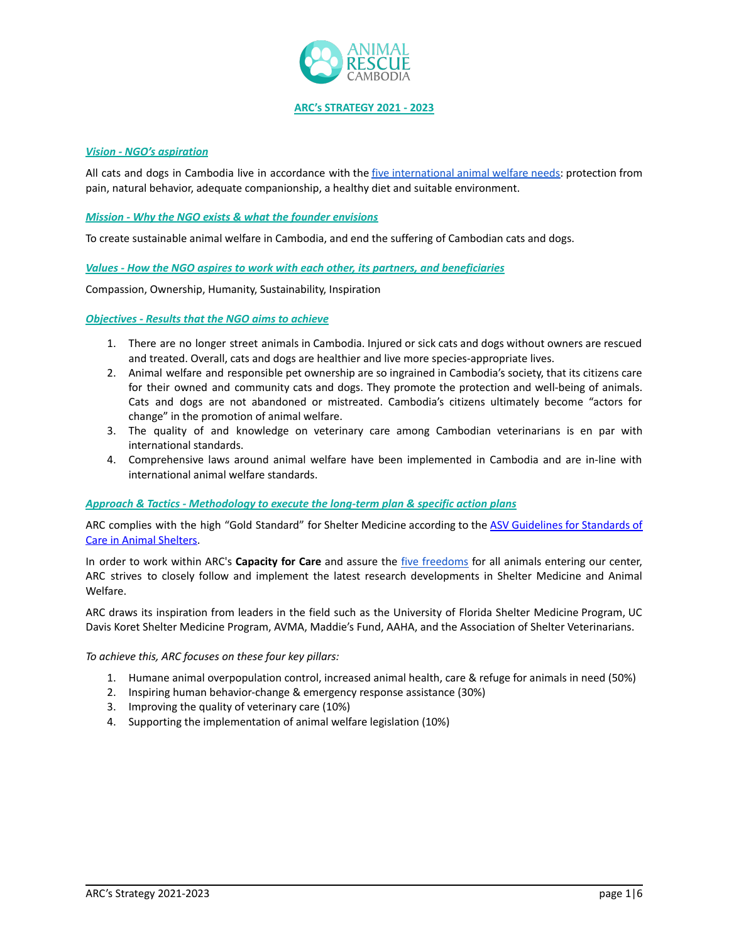

**ARC's STRATEGY 2021 - 2023**

## *Vision - NGO's aspiration*

All cats and dogs in Cambodia live in accordance with the five [international](https://www.rspca.org.uk/whatwedo/endcruelty/changingthelaw/whatwechanged/animalwelfareact) animal welfare needs: protection from pain, natural behavior, adequate companionship, a healthy diet and suitable environment.

## *Mission - Why the NGO exists & what the founder envisions*

To create sustainable animal welfare in Cambodia, and end the suffering of Cambodian cats and dogs.

*Values - How the NGO aspires to work with each other, its partners, and beneficiaries*

Compassion, Ownership, Humanity, Sustainability, Inspiration

*Objectives - Results that the NGO aims to achieve*

- 1. There are no longer street animals in Cambodia. Injured or sick cats and dogs without owners are rescued and treated. Overall, cats and dogs are healthier and live more species-appropriate lives.
- 2. Animal welfare and responsible pet ownership are so ingrained in Cambodia's society, that its citizens care for their owned and community cats and dogs. They promote the protection and well-being of animals. Cats and dogs are not abandoned or mistreated. Cambodia's citizens ultimately become "actors for change" in the promotion of animal welfare.
- 3. The quality of and knowledge on veterinary care among Cambodian veterinarians is en par with international standards.
- 4. Comprehensive laws around animal welfare have been implemented in Cambodia and are in-line with international animal welfare standards.

## *Approach & Tactics - Methodology to execute the long-term plan & specific action plans*

ARC complies with the high "Gold Standard" for Shelter Medicine according to the ASV [Guidelines](https://www.sheltervet.org/assets/docs/shelter-standards-oct2011-wforward.pdf) for Standards of Care in Animal [Shelters.](https://www.sheltervet.org/assets/docs/shelter-standards-oct2011-wforward.pdf)

In order to work within ARC's **Capacity for Care** and assure the five [freedoms](https://www.sheltervet.org/five-freedoms) for all animals entering our center, ARC strives to closely follow and implement the latest research developments in Shelter Medicine and Animal Welfare.

ARC draws its inspiration from leaders in the field such as the University of Florida Shelter Medicine Program, UC Davis Koret Shelter Medicine Program, AVMA, Maddie's Fund, AAHA, and the Association of Shelter Veterinarians.

*To achieve this, ARC focuses on these four key pillars:*

- 1. Humane animal overpopulation control, increased animal health, care & refuge for animals in need (50%)
- 2. Inspiring human behavior-change & emergency response assistance (30%)
- 3. Improving the quality of veterinary care (10%)
- 4. Supporting the implementation of animal welfare legislation (10%)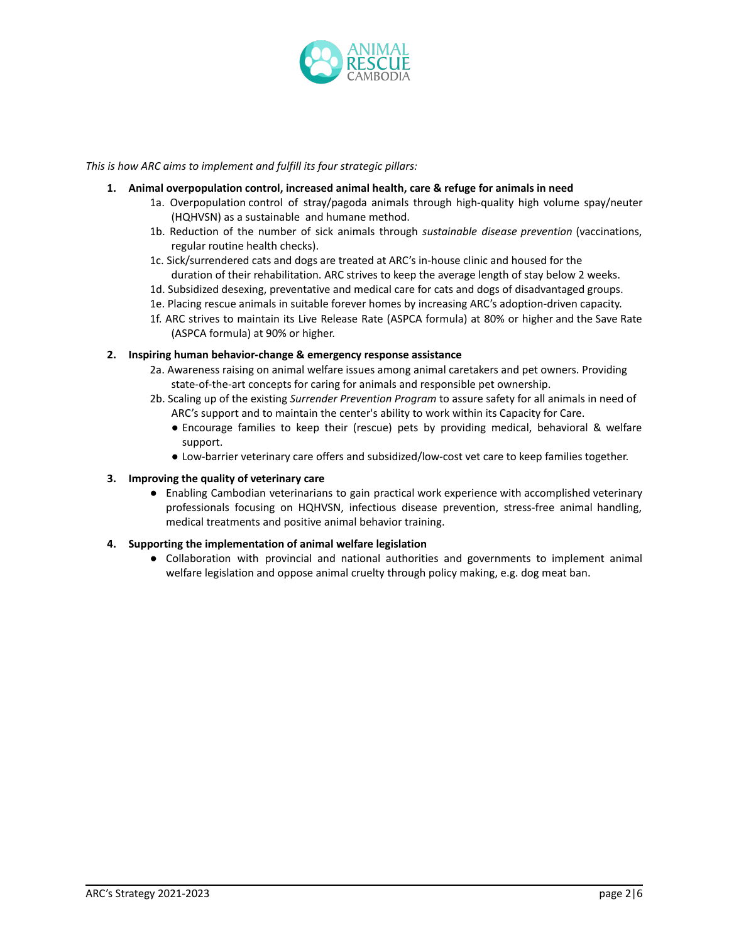

*This is how ARC aims to implement and fulfill its four strategic pillars:*

- **1. Animal overpopulation control, increased animal health, care & refuge for animals in need**
	- 1a. Overpopulation control of stray/pagoda animals through high-quality high volume spay/neuter (HQHVSN) as a sustainable and humane method.
	- 1b. Reduction of the number of sick animals through *sustainable disease prevention* (vaccinations, regular routine health checks).
	- 1c. Sick/surrendered cats and dogs are treated at ARC's in-house clinic and housed for the duration of their rehabilitation. ARC strives to keep the average length of stay below 2 weeks.
	- 1d. Subsidized desexing, preventative and medical care for cats and dogs of disadvantaged groups.
	- 1e. Placing rescue animals in suitable forever homes by increasing ARC's adoption-driven capacity.
	- 1f. ARC strives to maintain its Live Release Rate (ASPCA formula) at 80% or higher and the Save Rate (ASPCA formula) at 90% or higher.

### **2. Inspiring human behavior-change & emergency response assistance**

- 2a. Awareness raising on animal welfare issues among animal caretakers and pet owners. Providing state-of-the-art concepts for caring for animals and responsible pet ownership.
- 2b. Scaling up of the existing *Surrender Prevention Program* to assure safety for all animals in need of ARC's support and to maintain the center's ability to work within its Capacity for Care.
	- Encourage families to keep their (rescue) pets by providing medical, behavioral & welfare support.
	- Low-barrier veterinary care offers and subsidized/low-cost vet care to keep families together.

## **3. Improving the quality of veterinary care**

● Enabling Cambodian veterinarians to gain practical work experience with accomplished veterinary professionals focusing on HQHVSN, infectious disease prevention, stress-free animal handling, medical treatments and positive animal behavior training.

### **4. Supporting the implementation of animal welfare legislation**

● Collaboration with provincial and national authorities and governments to implement animal welfare legislation and oppose animal cruelty through policy making, e.g. dog meat ban.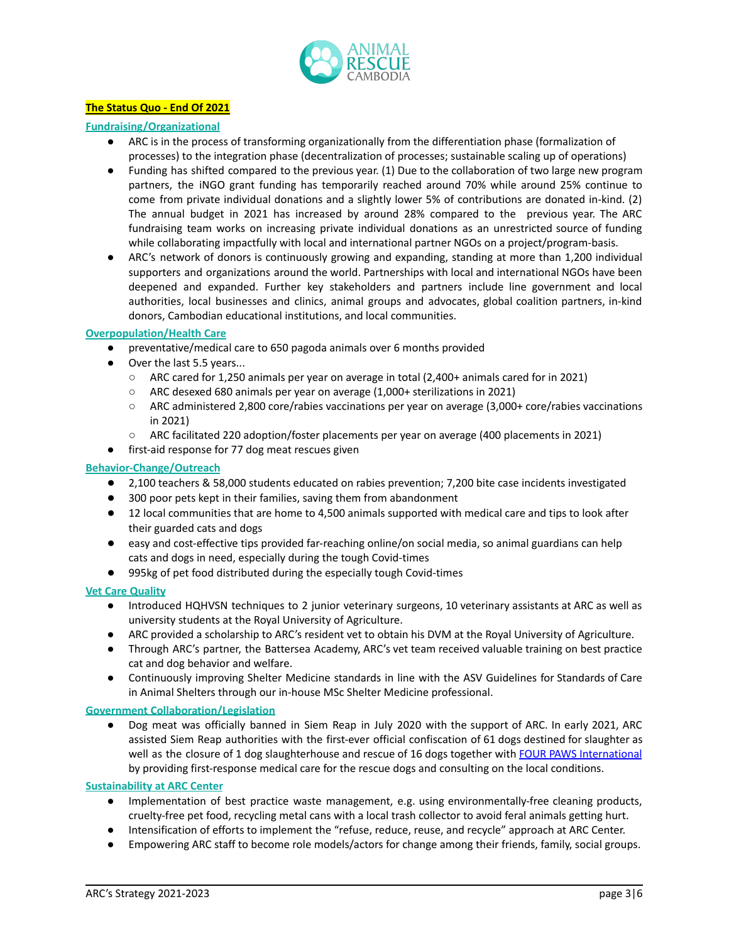

# **The Status Quo - End Of 2021**

## **Fundraising/Organizational**

- ARC is in the process of transforming organizationally from the differentiation phase (formalization of processes) to the integration phase (decentralization of processes; sustainable scaling up of operations)
- Funding has shifted compared to the previous year. (1) Due to the collaboration of two large new program partners, the iNGO grant funding has temporarily reached around 70% while around 25% continue to come from private individual donations and a slightly lower 5% of contributions are donated in-kind. (2) The annual budget in 2021 has increased by around 28% compared to the previous year. The ARC fundraising team works on increasing private individual donations as an unrestricted source of funding while collaborating impactfully with local and international partner NGOs on a project/program-basis.
- ARC's network of donors is continuously growing and expanding, standing at more than 1,200 individual supporters and organizations around the world. Partnerships with local and international NGOs have been deepened and expanded. Further key stakeholders and partners include line government and local authorities, local businesses and clinics, animal groups and advocates, global coalition partners, in-kind donors, Cambodian educational institutions, and local communities.

### **Overpopulation/Health Care**

- preventative/medical care to 650 pagoda animals over 6 months provided
- Over the last 5.5 years...
	- ARC cared for 1,250 animals per year on average in total (2,400+ animals cared for in 2021)
	- ARC desexed 680 animals per year on average (1,000+ sterilizations in 2021)
	- ARC administered 2,800 core/rabies vaccinations per year on average (3,000+ core/rabies vaccinations in 2021)
	- ARC facilitated 220 adoption/foster placements per year on average (400 placements in 2021)
- first-aid response for 77 dog meat rescues given

## **Behavior-Change/Outreach**

- 2,100 teachers & 58,000 students educated on rabies prevention; 7,200 bite case incidents investigated
- 300 poor pets kept in their families, saving them from abandonment
- 12 local communities that are home to 4,500 animals supported with medical care and tips to look after their guarded cats and dogs
- easy and cost-effective tips provided far-reaching online/on social media, so animal guardians can help cats and dogs in need, especially during the tough Covid-times
- 995kg of pet food distributed during the especially tough Covid-times

### **Vet Care Quality**

- Introduced HQHVSN techniques to 2 junior veterinary surgeons, 10 veterinary assistants at ARC as well as university students at the Royal University of Agriculture.
- ARC provided a scholarship to ARC's resident vet to obtain his DVM at the Royal University of Agriculture.
- Through ARC's partner, the Battersea Academy, ARC's vet team received valuable training on best practice cat and dog behavior and welfare.
- Continuously improving Shelter Medicine standards in line with the ASV [Guidelines](https://www.sheltervet.org/assets/docs/shelter-standards-oct2011-wforward.pdf) for Standards of Care in Animal [Shelters](https://www.sheltervet.org/assets/docs/shelter-standards-oct2011-wforward.pdf) through our in-house MSc Shelter Medicine professional.

### **Government Collaboration/Legislation**

● Dog meat was officially banned in Siem Reap in July 2020 with the support of ARC. In early 2021, ARC assisted Siem Reap authorities with the first-ever official confiscation of 61 dogs destined for slaughter as well as the closure of 1 dog slaughterhouse and rescue of 16 dogs together with FOUR PAWS [International](https://www.four-paws.org/) by providing first-response medical care for the rescue dogs and consulting on the local conditions.

### **Sustainability at ARC Center**

- Implementation of best practice waste management, e.g. using environmentally-free cleaning products, cruelty-free pet food, recycling metal cans with a local trash collector to avoid feral animals getting hurt.
- Intensification of efforts to implement the "refuse, reduce, reuse, and recycle" approach at ARC Center.
- Empowering ARC staff to become role models/actors for change among their friends, family, social groups.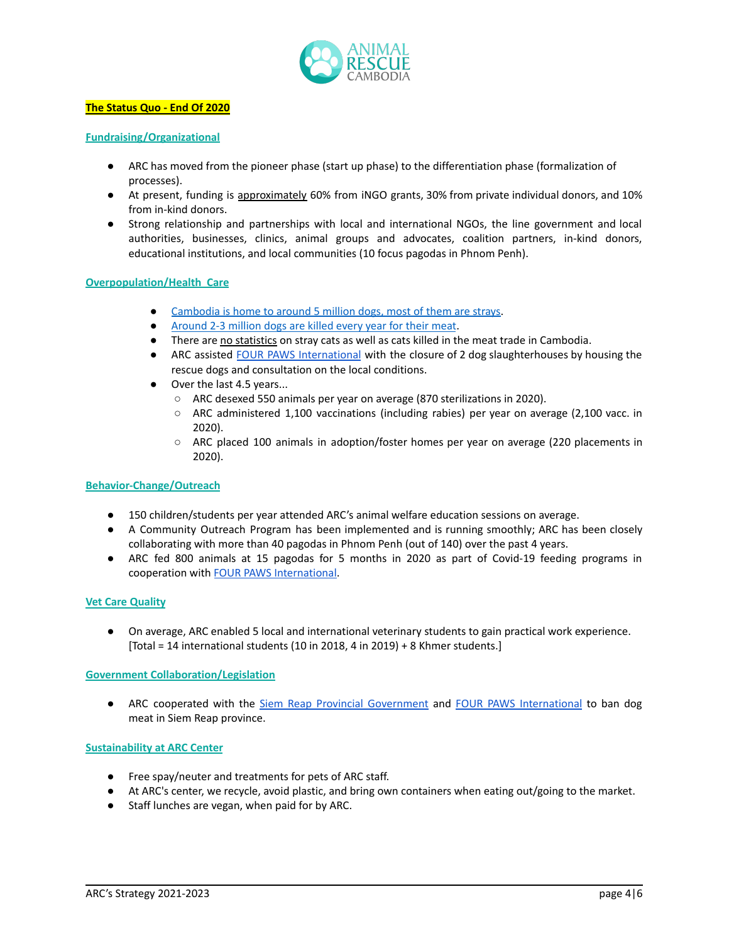

## **The Status Quo - End Of 2020**

## **Fundraising/Organizational**

- ARC has moved from the pioneer phase (start up phase) to the differentiation phase (formalization of processes).
- At present, funding is approximately 60% from iNGO grants, 30% from private individual donors, and 10% from in-kind donors.
- Strong relationship and partnerships with local and international NGOs, the line government and local authorities, businesses, clinics, animal groups and advocates, coalition partners, in-kind donors, educational institutions, and local communities (10 focus pagodas in Phnom Penh).

## **Overpopulation/Health Care**

- [Cambodia](https://www.pasteur.fr/en/research-journal/news/rabies-cambodia) is home to around 5 million dogs, most of them are strays.
- [Around](https://www.ar-cambodia.com/wp-content/uploads/2019/12/Four-Paws-ARC-Dog-Meat-Trade-DMT-Report-2019_English.pdf) 2-3 million dogs are killed every year for their meat.
- **•** There are no statistics on stray cats as well as cats killed in the meat trade in Cambodia.
- ARC assisted FOUR PAWS [International](https://www.four-paws.org/) with the closure of 2 dog slaughterhouses by housing the rescue dogs and consultation on the local conditions.
- Over the last 4.5 years...
	- ARC desexed 550 animals per year on average (870 sterilizations in 2020).
	- ARC administered 1,100 vaccinations (including rabies) per year on average (2,100 vacc. in 2020).
	- ARC placed 100 animals in adoption/foster homes per year on average (220 placements in 2020).

### **Behavior-Change/Outreach**

- 150 children/students per year attended ARC's animal welfare education sessions on average.
- A Community Outreach Program has been implemented and is running smoothly; ARC has been closely collaborating with more than 40 pagodas in Phnom Penh (out of 140) over the past 4 years.
- ARC fed 800 animals at 15 pagodas for 5 months in 2020 as part of Covid-19 feeding programs in cooperation with FOUR PAWS [International.](https://www.four-paws.org/)

## **Vet Care Quality**

● On average, ARC enabled 5 local and international veterinary students to gain practical work experience. [Total = 14 international students (10 in 2018, 4 in 2019) + 8 Khmer students.]

### **Government Collaboration/Legislation**

● ARC cooperated with the Siem Reap Provincial [Government](https://www.facebook.com/SiemReap.provincial) and FOUR PAWS [International](https://www.four-paws.org/) to ban dog meat in Siem Reap province.

### **Sustainability at ARC Center**

- Free spay/neuter and treatments for pets of ARC staff.
- At ARC's center, we recycle, avoid plastic, and bring own containers when eating out/going to the market.
- Staff lunches are vegan, when paid for by ARC.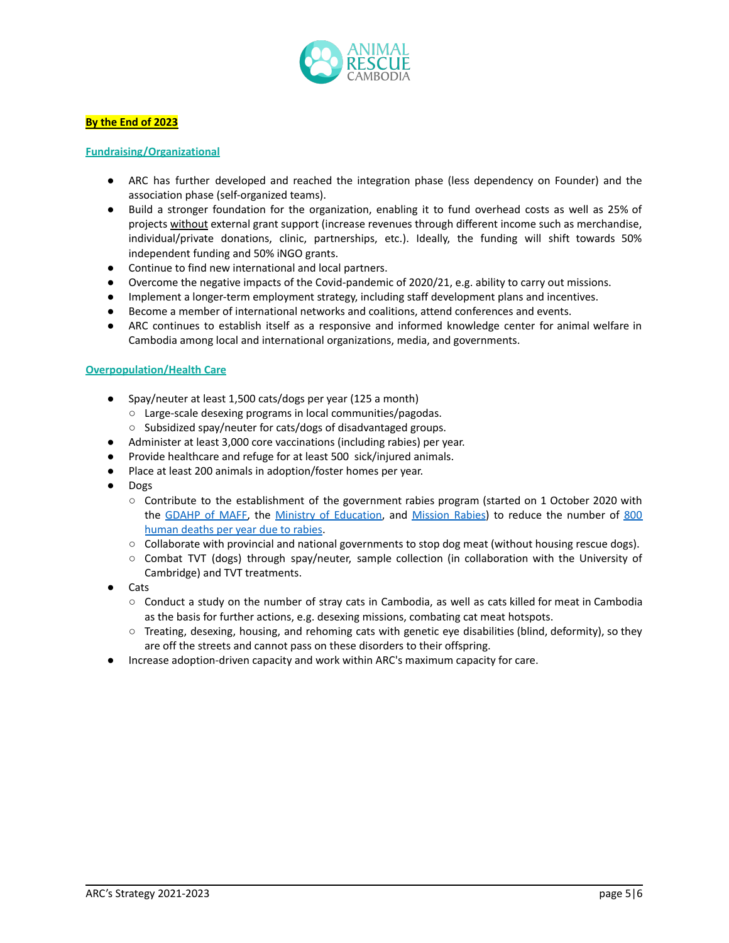

## **By the End of 2023**

## **Fundraising/Organizational**

- ARC has further developed and reached the integration phase (less dependency on Founder) and the association phase (self-organized teams).
- Build a stronger foundation for the organization, enabling it to fund overhead costs as well as 25% of projects without external grant support (increase revenues through different income such as merchandise, individual/private donations, clinic, partnerships, etc.). Ideally, the funding will shift towards 50% independent funding and 50% iNGO grants.
- Continue to find new international and local partners.
- Overcome the negative impacts of the Covid-pandemic of 2020/21, e.g. ability to carry out missions.
- Implement a longer-term employment strategy, including staff development plans and incentives.
- Become a member of international networks and coalitions, attend conferences and events.
- ARC continues to establish itself as a responsive and informed knowledge center for animal welfare in Cambodia among local and international organizations, media, and governments.

## **Overpopulation/Health Care**

- Spay/neuter at least 1,500 cats/dogs per year (125 a month)
	- Large-scale desexing programs in local communities/pagodas.
	- Subsidized spay/neuter for cats/dogs of disadvantaged groups.
- Administer at least 3,000 core vaccinations (including rabies) per year.
- Provide healthcare and refuge for at least 500 sick/injured animals.
- Place at least 200 animals in adoption/foster homes per year.
- Dogs
	- Contribute to the establishment of the government rabies program (started on 1 October 2020 with the [GDAHP](https://web.maff.gov.kh/?lang=en) of MAFF, the Ministry of [Education,](http://www.moeys.gov.kh/en/) and [Mission](http://www.missionrabies.com/) Rabies) to reduce the number of [800](https://www.pasteur.fr/en/research-journal/news/rabies-cambodia) [human](https://www.pasteur.fr/en/research-journal/news/rabies-cambodia) deaths per year due to rabies.
	- Collaborate with provincial and national governments to stop dog meat (without housing rescue dogs).
	- Combat TVT (dogs) through spay/neuter, sample collection (in collaboration with the University of Cambridge) and TVT treatments.
- Cats
	- Conduct a study on the number of stray cats in Cambodia, as well as cats killed for meat in Cambodia as the basis for further actions, e.g. desexing missions, combating cat meat hotspots.
	- $\circ$  Treating, desexing, housing, and rehoming cats with genetic eye disabilities (blind, deformity), so they are off the streets and cannot pass on these disorders to their offspring.
- Increase adoption-driven capacity and work within ARC's maximum capacity for care.